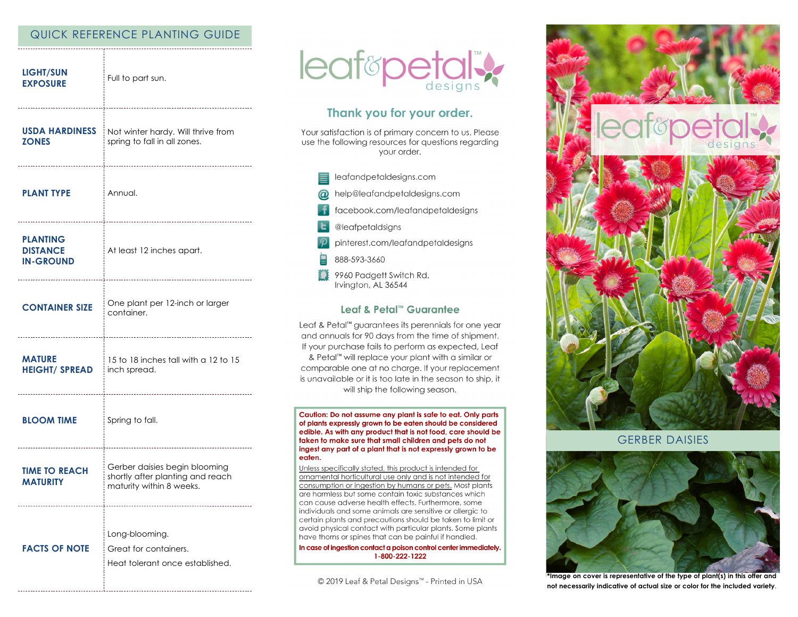# QUICK REFERENCE PLANTING GUIDE

| <b>LIGHT/SUN</b><br><b>EXPOSURE</b>                    | Full to part sun.                                                                             |
|--------------------------------------------------------|-----------------------------------------------------------------------------------------------|
| USDA HARDINESS<br><b>ZONES</b>                         | Not winter hardy. Will thrive from<br>spring to fall in all zones.                            |
| <b>PLANT TYPE</b>                                      | Annual.                                                                                       |
| <b>PLANTING</b><br><b>DISTANCE</b><br><b>IN-GROUND</b> | At least 12 inches apart.                                                                     |
| <b>CONTAINER SIZE</b>                                  | One plant per 12-inch or larger<br>container.                                                 |
| <b>MATURE</b><br><b>HEIGHT/ SPREAD</b>                 | 15 to 18 inches tall with a 12 to 15<br>inch spread.                                          |
| <b>BLOOM TIME</b>                                      | Spring to fall.                                                                               |
| <b>TIME TO REACH</b><br><b>MATURITY</b>                | Gerber daisies begin blooming<br>shortly after planting and reach<br>maturity within 8 weeks. |
| <b>FACTS OF NOTE</b>                                   | Long-blooming.<br>Great for containers.<br>Heat tolerant once established.                    |



# Thank you for your order.

Your satisfaction is of primary concern to us. Please use the following resources for questions regarding your order.

- leafandpetaldesigns.com
- help@leafandpetaldesigns.com  $\omega$ 
	- facebook.com/leafandpetaldesigns
- @leafpetaldsigns
- pinterest.com/leafandpetaldesigns
- 888-593-3660
- Ω 9960 Padgett Switch Rd. Irvington, AL 36544

### Leaf & Petal™ Guarantee

Leaf & Petal<sup>™</sup> guarantees its perennials for one year and annuals for 90 days from the time of shipment. If your purchase fails to perform as expected, Leaf & Petal™ will replace your plant with a similar or comparable one at no charge. If your replacement is unavailable or it is too late in the season to ship, it will ship the following season.

Caution: Do not assume any plant is safe to eat. Only parts of plants expressly grown to be eaten should be considered edible. As with any product that is not food, care should be taken to make sure that small children and pets do not ingest any part of a plant that is not expressly grown to be eaten.

Unless specifically stated, this product is intended for ornamental horticultural use only and is not intended for consumption or ingestion by humans or pets. Most plants are harmless but some contain toxic substances which can cause adverse health effects. Furthermore, some individuals and some animals are sensitive or allergic to certain plants and precautions should be taken to limit or avoid physical contact with particular plants. Some plants have thorns or spines that can be painful if handled.

In case of ingestion contact a poison control center immediately. 1-800-222-1222

© 2019 Leaf & Petal Designs™ - Printed in USA



**GERBER DAISIES** 



\*Image on cover is representative of the type of plant(s) in this offer and not necessarily indicative of actual size or color for the included variety.